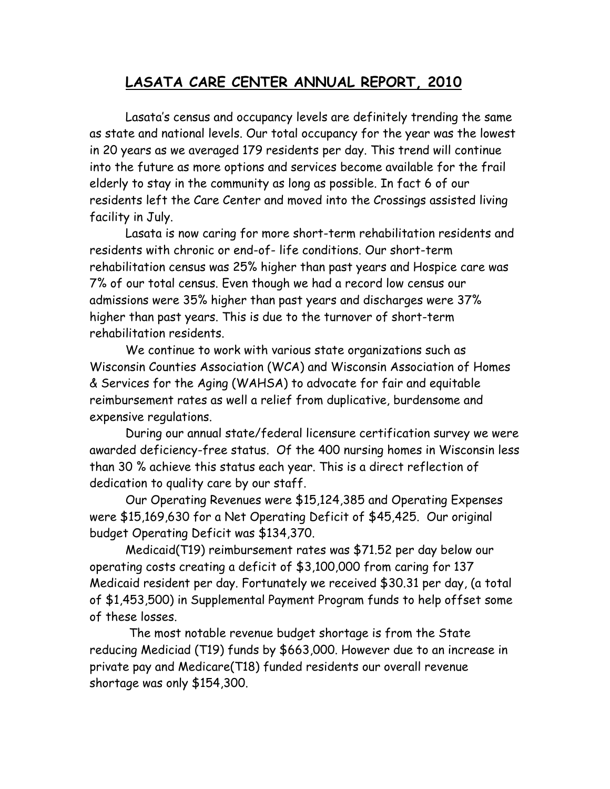## **LASATA CARE CENTER ANNUAL REPORT, 2010**

Lasata's census and occupancy levels are definitely trending the same as state and national levels. Our total occupancy for the year was the lowest in 20 years as we averaged 179 residents per day. This trend will continue into the future as more options and services become available for the frail elderly to stay in the community as long as possible. In fact 6 of our residents left the Care Center and moved into the Crossings assisted living facility in July.

Lasata is now caring for more short-term rehabilitation residents and residents with chronic or end-of- life conditions. Our short-term rehabilitation census was 25% higher than past years and Hospice care was 7% of our total census. Even though we had a record low census our admissions were 35% higher than past years and discharges were 37% higher than past years. This is due to the turnover of short-term rehabilitation residents.

We continue to work with various state organizations such as Wisconsin Counties Association (WCA) and Wisconsin Association of Homes & Services for the Aging (WAHSA) to advocate for fair and equitable reimbursement rates as well a relief from duplicative, burdensome and expensive regulations.

During our annual state/federal licensure certification survey we were awarded deficiency-free status. Of the 400 nursing homes in Wisconsin less than 30 % achieve this status each year. This is a direct reflection of dedication to quality care by our staff.

Our Operating Revenues were \$15,124,385 and Operating Expenses were \$15,169,630 for a Net Operating Deficit of \$45,425. Our original budget Operating Deficit was \$134,370.

Medicaid(T19) reimbursement rates was \$71.52 per day below our operating costs creating a deficit of \$3,100,000 from caring for 137 Medicaid resident per day. Fortunately we received \$30.31 per day, (a total of \$1,453,500) in Supplemental Payment Program funds to help offset some of these losses.

The most notable revenue budget shortage is from the State reducing Mediciad (T19) funds by \$663,000. However due to an increase in private pay and Medicare(T18) funded residents our overall revenue shortage was only \$154,300.